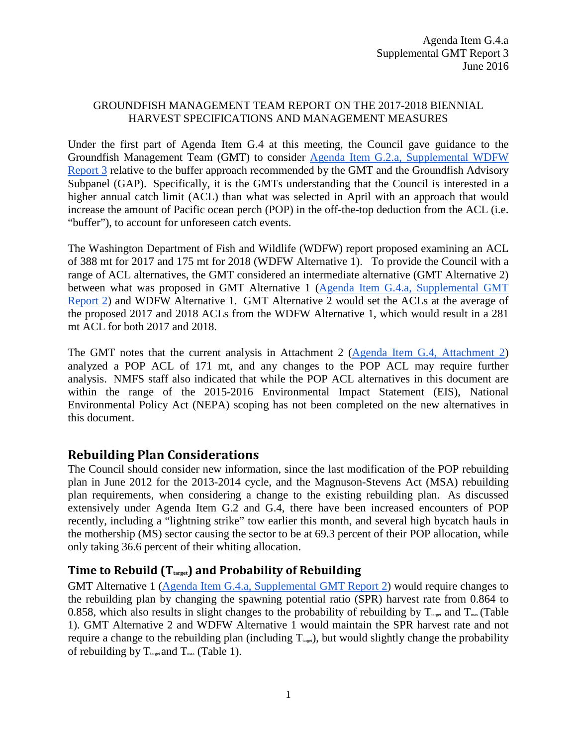#### GROUNDFISH MANAGEMENT TEAM REPORT ON THE 2017-2018 BIENNIAL HARVEST SPECIFICATIONS AND MANAGEMENT MEASURES

Under the first part of Agenda Item G.4 at this meeting, the Council gave guidance to the Groundfish Management Team (GMT) to consider Agenda Item G.2.a, [Supplemental WDFW](http://www.pcouncil.org/wp-content/uploads/2016/06/G2a_Sup_WDFW_Rpt3_JUN2016BB.pdf)  [Report 3](http://www.pcouncil.org/wp-content/uploads/2016/06/G2a_Sup_WDFW_Rpt3_JUN2016BB.pdf) relative to the buffer approach recommended by the GMT and the Groundfish Advisory Subpanel (GAP). Specifically, it is the GMTs understanding that the Council is interested in a higher annual catch limit (ACL) than what was selected in April with an approach that would increase the amount of Pacific ocean perch (POP) in the off-the-top deduction from the ACL (i.e. "buffer"), to account for unforeseen catch events.

The Washington Department of Fish and Wildlife (WDFW) report proposed examining an ACL of 388 mt for 2017 and 175 mt for 2018 (WDFW Alternative 1). To provide the Council with a range of ACL alternatives, the GMT considered an intermediate alternative (GMT Alternative 2) between what was proposed in GMT Alternative 1 [\(Agenda Item G.4.a, Supplemental GMT](http://www.pcouncil.org/wp-content/uploads/2016/06/G4a_Sup_GMT_Rpt2_JUN2016BB.pdf)  [Report 2\)](http://www.pcouncil.org/wp-content/uploads/2016/06/G4a_Sup_GMT_Rpt2_JUN2016BB.pdf) and WDFW Alternative 1. GMT Alternative 2 would set the ACLs at the average of the proposed 2017 and 2018 ACLs from the WDFW Alternative 1, which would result in a 281 mt ACL for both 2017 and 2018.

The GMT notes that the current analysis in Attachment 2 [\(Agenda Item G.4, Attachment 2\)](http://www.pcouncil.org/wp-content/uploads/2016/06/G4_Att2_Analysis_Doc_JUN2016BB.pdf) analyzed a POP ACL of 171 mt, and any changes to the POP ACL may require further analysis. NMFS staff also indicated that while the POP ACL alternatives in this document are within the range of the 2015-2016 Environmental Impact Statement (EIS), National Environmental Policy Act (NEPA) scoping has not been completed on the new alternatives in this document.

## **Rebuilding Plan Considerations**

The Council should consider new information, since the last modification of the POP rebuilding plan in June 2012 for the 2013-2014 cycle, and the Magnuson-Stevens Act (MSA) rebuilding plan requirements, when considering a change to the existing rebuilding plan. As discussed extensively under Agenda Item G.2 and G.4, there have been increased encounters of POP recently, including a "lightning strike" tow earlier this month, and several high bycatch hauls in the mothership (MS) sector causing the sector to be at 69.3 percent of their POP allocation, while only taking 36.6 percent of their whiting allocation.

## **Time to Rebuild (Ttarget) and Probability of Rebuilding**

GMT Alternative 1 [\(Agenda Item G.4.a, Supplemental GMT Report 2\)](http://www.pcouncil.org/wp-content/uploads/2016/06/G4a_Sup_GMT_Rpt2_JUN2016BB.pdf) would require changes to the rebuilding plan by changing the spawning potential ratio (SPR) harvest rate from 0.864 to 0.858, which also results in slight changes to the probability of rebuilding by  $T_{\text{target}}$  and  $T_{\text{max}}$  (Table [1\)](#page-1-0). GMT Alternative 2 and WDFW Alternative 1 would maintain the SPR harvest rate and not require a change to the rebuilding plan (including  $T_{\text{target}}$ ), but would slightly change the probability of rebuilding by  $T_{\text{target}}$  and  $T_{\text{max}}$  [\(Table 1\)](#page-1-0).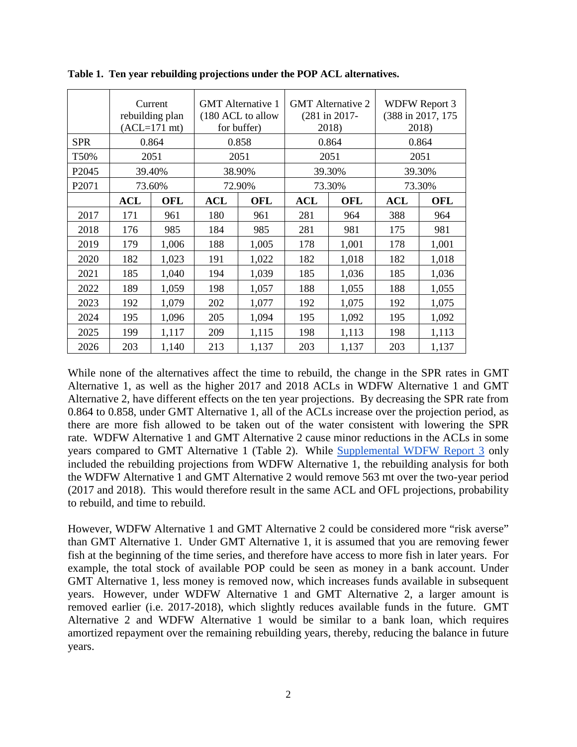|                   |            | Current<br>rebuilding plan<br>$(ACL=171 \text{ mt})$ | <b>GMT</b> Alternative 1<br>(180 ACL to allow<br>for buffer) |            |            | <b>GMT</b> Alternative 2<br>$(281$ in 2017-<br>2018) | <b>WDFW Report 3</b><br>(388 in 2017, 175)<br>2018) |            |  |
|-------------------|------------|------------------------------------------------------|--------------------------------------------------------------|------------|------------|------------------------------------------------------|-----------------------------------------------------|------------|--|
| <b>SPR</b>        | 0.864      |                                                      | 0.858                                                        |            | 0.864      |                                                      | 0.864                                               |            |  |
| T50%              | 2051       |                                                      | 2051                                                         |            | 2051       |                                                      | 2051                                                |            |  |
| P <sub>2045</sub> | 39.40%     |                                                      | 38.90%                                                       |            | 39.30%     |                                                      | 39.30%                                              |            |  |
| P <sub>2071</sub> | 73.60%     |                                                      | 72.90%                                                       |            | 73.30%     |                                                      | 73.30%                                              |            |  |
|                   | <b>ACL</b> | <b>OFL</b>                                           | <b>ACL</b>                                                   | <b>OFL</b> | <b>ACL</b> | <b>OFL</b>                                           | <b>ACL</b>                                          | <b>OFL</b> |  |
| 2017              | 171        | 961                                                  | 180                                                          | 961        | 281        | 964                                                  | 388                                                 | 964        |  |
| 2018              | 176        | 985                                                  | 184                                                          | 985        | 281        | 981                                                  | 175                                                 | 981        |  |
| 2019              | 179        | 1,006                                                | 188                                                          | 1,005      | 178        | 1,001                                                | 178                                                 | 1,001      |  |
| 2020              | 182        | 1,023                                                | 191                                                          | 1,022      | 182        | 1,018                                                | 182                                                 | 1,018      |  |
| 2021              | 185        | 1,040                                                | 194                                                          | 1,039      | 185        | 1,036                                                | 185                                                 | 1,036      |  |
| 2022              | 189        | 1,059                                                | 198                                                          | 1,057      | 188        | 1,055                                                | 188                                                 | 1,055      |  |
| 2023              | 192        | 1,079                                                | 202                                                          | 1,077      | 192        | 1,075                                                | 192                                                 | 1,075      |  |
| 2024              | 195        | 1,096                                                | 205                                                          | 1,094      | 195        | 1,092                                                | 195                                                 | 1,092      |  |
| 2025              | 199        | 1,117                                                | 209                                                          | 1,115      | 198        | 1,113                                                | 198                                                 | 1,113      |  |
| 2026              | 203        | 1,140                                                | 213                                                          | 1,137      | 203        | 1,137                                                | 203                                                 | 1,137      |  |

<span id="page-1-0"></span>**Table 1. Ten year rebuilding projections under the POP ACL alternatives.**

While none of the alternatives affect the time to rebuild, the change in the SPR rates in GMT Alternative 1, as well as the higher 2017 and 2018 ACLs in WDFW Alternative 1 and GMT Alternative 2, have different effects on the ten year projections. By decreasing the SPR rate from 0.864 to 0.858, under GMT Alternative 1, all of the ACLs increase over the projection period, as there are more fish allowed to be taken out of the water consistent with lowering the SPR rate. WDFW Alternative 1 and GMT Alternative 2 cause minor reductions in the ACLs in some years compared to GMT Alternative 1 [\(Table 2\)](#page-3-0). While [Supplemental WDFW Report 3](http://www.pcouncil.org/wp-content/uploads/2016/06/G2a_Sup_WDFW_Rpt3_JUN2016BB.pdf) only included the rebuilding projections from WDFW Alternative 1, the rebuilding analysis for both the WDFW Alternative 1 and GMT Alternative 2 would remove 563 mt over the two-year period (2017 and 2018). This would therefore result in the same ACL and OFL projections, probability to rebuild, and time to rebuild.

However, WDFW Alternative 1 and GMT Alternative 2 could be considered more "risk averse" than GMT Alternative 1. Under GMT Alternative 1, it is assumed that you are removing fewer fish at the beginning of the time series, and therefore have access to more fish in later years. For example, the total stock of available POP could be seen as money in a bank account. Under GMT Alternative 1, less money is removed now, which increases funds available in subsequent years. However, under WDFW Alternative 1 and GMT Alternative 2, a larger amount is removed earlier (i.e. 2017-2018), which slightly reduces available funds in the future. GMT Alternative 2 and WDFW Alternative 1 would be similar to a bank loan, which requires amortized repayment over the remaining rebuilding years, thereby, reducing the balance in future years.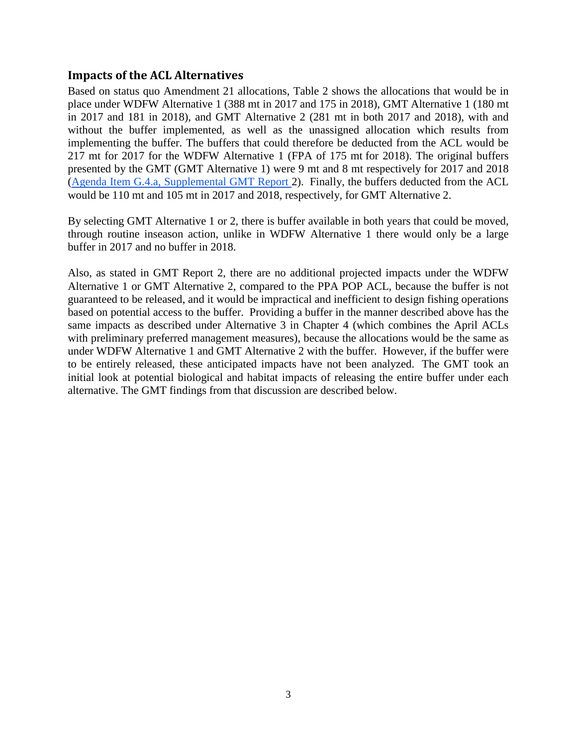#### **Impacts of the ACL Alternatives**

Based on status quo Amendment 21 allocations, [Table 2](#page-3-0) shows the allocations that would be in place under WDFW Alternative 1 (388 mt in 2017 and 175 in 2018), GMT Alternative 1 (180 mt in 2017 and 181 in 2018), and GMT Alternative 2 (281 mt in both 2017 and 2018), with and without the buffer implemented, as well as the unassigned allocation which results from implementing the buffer. The buffers that could therefore be deducted from the ACL would be 217 mt for 2017 for the WDFW Alternative 1 (FPA of 175 mt for 2018). The original buffers presented by the GMT (GMT Alternative 1) were 9 mt and 8 mt respectively for 2017 and 2018 [\(Agenda Item G.4.a, Supplemental GMT Report 2](http://www.pcouncil.org/wp-content/uploads/2016/06/G4a_Sup_GMT_Rpt2_JUN2016BB.pdf)). Finally, the buffers deducted from the ACL would be 110 mt and 105 mt in 2017 and 2018, respectively, for GMT Alternative 2.

By selecting GMT Alternative 1 or 2, there is buffer available in both years that could be moved, through routine inseason action, unlike in WDFW Alternative 1 there would only be a large buffer in 2017 and no buffer in 2018.

Also, as stated in GMT Report 2, there are no additional projected impacts under the WDFW Alternative 1 or GMT Alternative 2, compared to the PPA POP ACL, because the buffer is not guaranteed to be released, and it would be impractical and inefficient to design fishing operations based on potential access to the buffer. Providing a buffer in the manner described above has the same impacts as described under Alternative 3 in Chapter 4 (which combines the April ACLs with preliminary preferred management measures), because the allocations would be the same as under WDFW Alternative 1 and GMT Alternative 2 with the buffer. However, if the buffer were to be entirely released, these anticipated impacts have not been analyzed. The GMT took an initial look at potential biological and habitat impacts of releasing the entire buffer under each alternative. The GMT findings from that discussion are described below.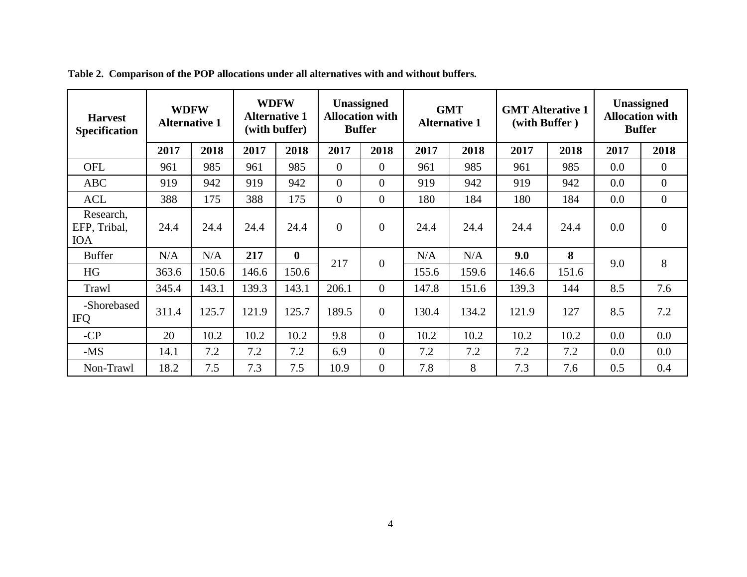<span id="page-3-0"></span>

| <b>Harvest</b><br><b>Specification</b>  | <b>WDFW</b><br><b>Alternative 1</b> |       | <b>WDFW</b><br><b>Alternative 1</b><br>(with buffer) |          | <b>Unassigned</b><br><b>Allocation with</b><br><b>Buffer</b> |                | <b>GMT</b><br><b>Alternative 1</b> |       | <b>GMT</b> Alterative 1<br>(with Buffer) |       | Unassigned<br><b>Allocation with</b><br><b>Buffer</b> |                |
|-----------------------------------------|-------------------------------------|-------|------------------------------------------------------|----------|--------------------------------------------------------------|----------------|------------------------------------|-------|------------------------------------------|-------|-------------------------------------------------------|----------------|
|                                         | 2017                                | 2018  | 2017                                                 | 2018     | 2017                                                         | 2018           | 2017                               | 2018  | 2017                                     | 2018  | 2017                                                  | 2018           |
| <b>OFL</b>                              | 961                                 | 985   | 961                                                  | 985      | $\overline{0}$                                               | $\overline{0}$ | 961                                | 985   | 961                                      | 985   | 0.0                                                   | $\overline{0}$ |
| <b>ABC</b>                              | 919                                 | 942   | 919                                                  | 942      | $\overline{0}$                                               | $\overline{0}$ | 919                                | 942   | 919                                      | 942   | 0.0                                                   | $\overline{0}$ |
| <b>ACL</b>                              | 388                                 | 175   | 388                                                  | 175      | $\overline{0}$                                               | $\overline{0}$ | 180                                | 184   | 180                                      | 184   | 0.0                                                   | $\overline{0}$ |
| Research,<br>EFP, Tribal,<br><b>IOA</b> | 24.4                                | 24.4  | 24.4                                                 | 24.4     | $\Omega$                                                     | $\overline{0}$ | 24.4                               | 24.4  | 24.4                                     | 24.4  | 0.0                                                   | $\overline{0}$ |
| <b>Buffer</b>                           | N/A                                 | N/A   | 217                                                  | $\bf{0}$ | 217                                                          | $\theta$       | N/A                                | N/A   | 9.0                                      | 8     | 9.0                                                   | 8              |
| <b>HG</b>                               | 363.6                               | 150.6 | 146.6                                                | 150.6    |                                                              |                | 155.6                              | 159.6 | 146.6                                    | 151.6 |                                                       |                |
| Trawl                                   | 345.4                               | 143.1 | 139.3                                                | 143.1    | 206.1                                                        | $\overline{0}$ | 147.8                              | 151.6 | 139.3                                    | 144   | 8.5                                                   | 7.6            |
| -Shorebased<br><b>IFQ</b>               | 311.4                               | 125.7 | 121.9                                                | 125.7    | 189.5                                                        | $\overline{0}$ | 130.4                              | 134.2 | 121.9                                    | 127   | 8.5                                                   | 7.2            |
| $-CP$                                   | 20                                  | 10.2  | 10.2                                                 | 10.2     | 9.8                                                          | $\overline{0}$ | 10.2                               | 10.2  | 10.2                                     | 10.2  | 0.0                                                   | 0.0            |
| $-MS$                                   | 14.1                                | 7.2   | 7.2                                                  | 7.2      | 6.9                                                          | $\theta$       | 7.2                                | 7.2   | 7.2                                      | 7.2   | 0.0                                                   | 0.0            |
| Non-Trawl                               | 18.2                                | 7.5   | 7.3                                                  | 7.5      | 10.9                                                         | $\overline{0}$ | 7.8                                | 8     | 7.3                                      | 7.6   | 0.5                                                   | 0.4            |

**Table 2. Comparison of the POP allocations under all alternatives with and without buffers.**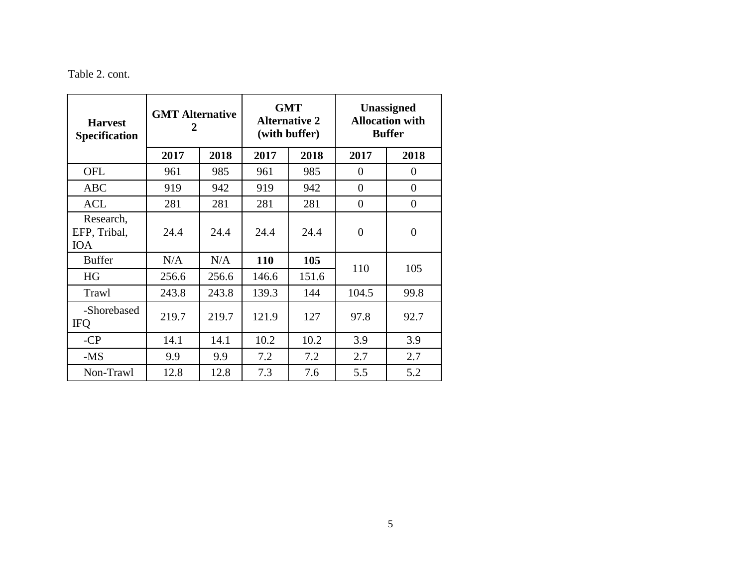## Table 2. cont.

| <b>Harvest</b><br><b>Specification</b>  | <b>GMT Alternative</b><br>2 |       |       | <b>GMT</b><br><b>Alternative 2</b><br>(with buffer) | Unassigned<br><b>Allocation with</b><br><b>Buffer</b> |                |  |
|-----------------------------------------|-----------------------------|-------|-------|-----------------------------------------------------|-------------------------------------------------------|----------------|--|
|                                         | 2017                        | 2018  | 2017  | 2018                                                | 2017                                                  | 2018           |  |
| <b>OFL</b>                              | 961                         | 985   | 961   | 985                                                 | $\theta$                                              | $\overline{0}$ |  |
| <b>ABC</b>                              | 919                         | 942   | 919   | 942                                                 | $\Omega$                                              | $\overline{0}$ |  |
| <b>ACL</b>                              | 281                         | 281   | 281   | 281                                                 | $\Omega$                                              | 0              |  |
| Research,<br>EFP, Tribal,<br><b>IOA</b> | 24.4                        | 24.4  | 24.4  | 24.4                                                | $\theta$                                              | $\overline{0}$ |  |
| <b>Buffer</b>                           | N/A                         | N/A   | 110   | 105                                                 |                                                       |                |  |
| HG                                      | 256.6                       | 256.6 | 146.6 | 151.6                                               | 110                                                   | 105            |  |
| Trawl                                   | 243.8                       | 243.8 | 139.3 | 144                                                 | 104.5                                                 | 99.8           |  |
| -Shorebased<br><b>IFO</b>               | 219.7                       | 219.7 | 121.9 | 127                                                 | 97.8                                                  | 92.7           |  |
| $-CP$                                   | 14.1                        | 14.1  | 10.2  | 10.2                                                | 3.9                                                   | 3.9            |  |
| -MS                                     | 9.9                         | 9.9   | 7.2   | 7.2                                                 | 2.7                                                   | 2.7            |  |
| Non-Trawl                               | 12.8                        | 12.8  | 7.3   | 7.6                                                 | 5.5                                                   | 5.2            |  |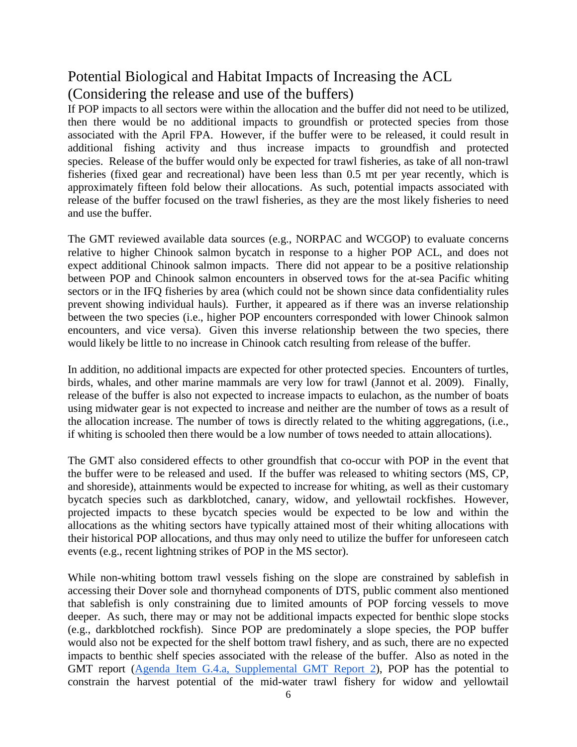# Potential Biological and Habitat Impacts of Increasing the ACL (Considering the release and use of the buffers)

If POP impacts to all sectors were within the allocation and the buffer did not need to be utilized, then there would be no additional impacts to groundfish or protected species from those associated with the April FPA. However, if the buffer were to be released, it could result in additional fishing activity and thus increase impacts to groundfish and protected species. Release of the buffer would only be expected for trawl fisheries, as take of all non-trawl fisheries (fixed gear and recreational) have been less than 0.5 mt per year recently, which is approximately fifteen fold below their allocations. As such, potential impacts associated with release of the buffer focused on the trawl fisheries, as they are the most likely fisheries to need and use the buffer.

The GMT reviewed available data sources (e.g., NORPAC and WCGOP) to evaluate concerns relative to higher Chinook salmon bycatch in response to a higher POP ACL, and does not expect additional Chinook salmon impacts. There did not appear to be a positive relationship between POP and Chinook salmon encounters in observed tows for the at-sea Pacific whiting sectors or in the IFQ fisheries by area (which could not be shown since data confidentiality rules prevent showing individual hauls). Further, it appeared as if there was an inverse relationship between the two species (i.e., higher POP encounters corresponded with lower Chinook salmon encounters, and vice versa). Given this inverse relationship between the two species, there would likely be little to no increase in Chinook catch resulting from release of the buffer.

In addition, no additional impacts are expected for other protected species. Encounters of turtles, birds, whales, and other marine mammals are very low for trawl (Jannot et al. 2009). Finally, release of the buffer is also not expected to increase impacts to eulachon, as the number of boats using midwater gear is not expected to increase and neither are the number of tows as a result of the allocation increase. The number of tows is directly related to the whiting aggregations, (i.e., if whiting is schooled then there would be a low number of tows needed to attain allocations).

The GMT also considered effects to other groundfish that co-occur with POP in the event that the buffer were to be released and used. If the buffer was released to whiting sectors (MS, CP, and shoreside), attainments would be expected to increase for whiting, as well as their customary bycatch species such as darkblotched, canary, widow, and yellowtail rockfishes. However, projected impacts to these bycatch species would be expected to be low and within the allocations as the whiting sectors have typically attained most of their whiting allocations with their historical POP allocations, and thus may only need to utilize the buffer for unforeseen catch events (e.g., recent lightning strikes of POP in the MS sector).

While non-whiting bottom trawl vessels fishing on the slope are constrained by sablefish in accessing their Dover sole and thornyhead components of DTS, public comment also mentioned that sablefish is only constraining due to limited amounts of POP forcing vessels to move deeper. As such, there may or may not be additional impacts expected for benthic slope stocks (e.g., darkblotched rockfish). Since POP are predominately a slope species, the POP buffer would also not be expected for the shelf bottom trawl fishery, and as such, there are no expected impacts to benthic shelf species associated with the release of the buffer. Also as noted in the GMT report [\(Agenda Item G.4.a, Supplemental GMT Report 2\)](http://www.pcouncil.org/wp-content/uploads/2016/06/G4a_Sup_GMT_Rpt2_JUN2016BB.pdf), POP has the potential to constrain the harvest potential of the mid-water trawl fishery for widow and yellowtail